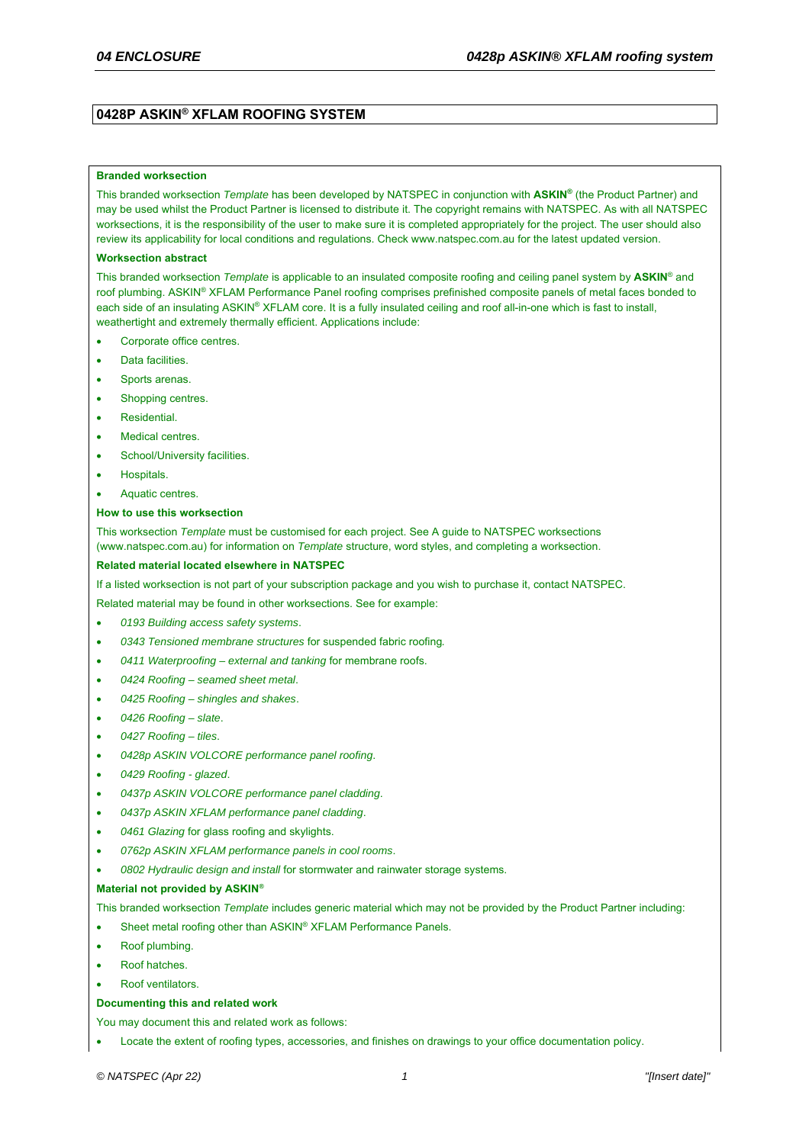## **0428P ASKIN® XFLAM ROOFING SYSTEM**

#### **Branded worksection**

This branded worksection *Template* has been developed by NATSPEC in conjunction with **ASKIN®** (the Product Partner) and may be used whilst the Product Partner is licensed to distribute it. The copyright remains with NATSPEC. As with all NATSPEC worksections, it is the responsibility of the user to make sure it is completed appropriately for the project. The user should also review its applicability for local conditions and regulations. Check www.natspec.com.au for the latest updated version.

#### **Worksection abstract**

This branded worksection *Template* is applicable to an insulated composite roofing and ceiling panel system by **ASKIN**® and roof plumbing. ASKIN® XFLAM Performance Panel roofing comprises prefinished composite panels of metal faces bonded to each side of an insulating ASKIN® XFLAM core. It is a fully insulated ceiling and roof all-in-one which is fast to install, weathertight and extremely thermally efficient. Applications include:

- Corporate office centres.
- Data facilities.
- Sports arenas.
- Shopping centres.
- Residential.
- Medical centres.
- School/University facilities.
- Hospitals.
- Aquatic centres.

#### **How to use this worksection**

This worksection *Template* must be customised for each project. See A guide to NATSPEC worksections (www.natspec.com.au) for information on *Template* structure, word styles, and completing a worksection.

#### **Related material located elsewhere in NATSPEC**

If a listed worksection is not part of your subscription package and you wish to purchase it, contact NATSPEC.

Related material may be found in other worksections. See for example:

- *0193 Building access safety systems*.
- *0343 Tensioned membrane structures* for suspended fabric roofing*.*
- *0411 Waterproofing external and tanking* for membrane roofs.
- *0424 Roofing seamed sheet metal*.
- *0425 Roofing shingles and shakes*.
- *0426 Roofing slate*.
- *0427 Roofing tiles*.
- *0428p ASKIN VOLCORE performance panel roofing*.
- *0429 Roofing glazed*.
- *0437p ASKIN VOLCORE performance panel cladding*.
- *0437p ASKIN XFLAM performance panel cladding*.
- *0461 Glazing* for glass roofing and skylights.
- *0762p ASKIN XFLAM performance panels in cool rooms*.
- *0802 Hydraulic design and install* for stormwater and rainwater storage systems.

#### **Material not provided by ASKIN***®*

This branded worksection *Template* includes generic material which may not be provided by the Product Partner including:

- Sheet metal roofing other than ASKIN® XFLAM Performance Panels.
- Roof plumbing.
- Roof hatches.
- Roof ventilators.

#### **Documenting this and related work**

You may document this and related work as follows:

Locate the extent of roofing types, accessories, and finishes on drawings to your office documentation policy.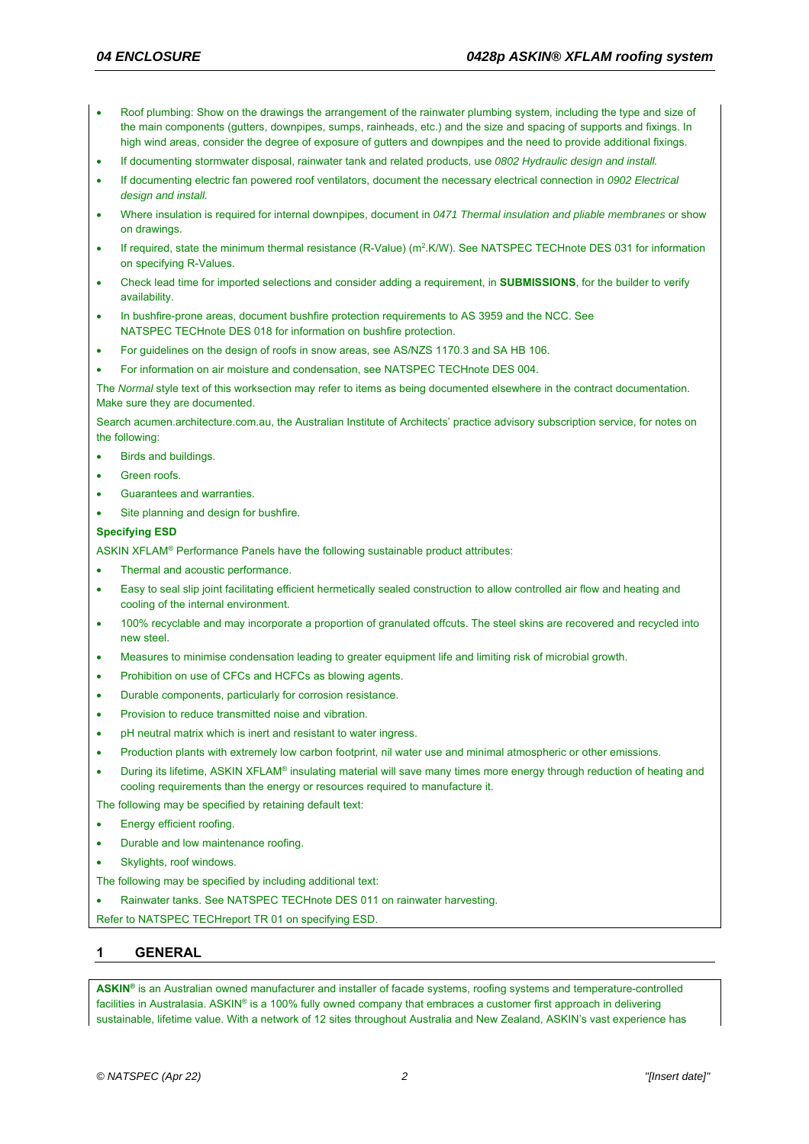- Roof plumbing: Show on the drawings the arrangement of the rainwater plumbing system, including the type and size of the main components (gutters, downpipes, sumps, rainheads, etc.) and the size and spacing of supports and fixings. In high wind areas, consider the degree of exposure of gutters and downpipes and the need to provide additional fixings.
- If documenting stormwater disposal, rainwater tank and related products, use *0802 Hydraulic design and install.*
- If documenting electric fan powered roof ventilators, document the necessary electrical connection in *0902 Electrical design and install.*
- Where insulation is required for internal downpipes, document in *0471 Thermal insulation and pliable membranes* or show on drawings.
- If required, state the minimum thermal resistance (R-Value) (m<sup>2</sup>.K/W). See NATSPEC TECHnote DES 031 for information on specifying R-Values.
- Check lead time for imported selections and consider adding a requirement, in **SUBMISSIONS**, for the builder to verify availability.
- In bushfire-prone areas, document bushfire protection requirements to AS 3959 and the NCC. See NATSPEC TECHnote DES 018 for information on bushfire protection.
- For guidelines on the design of roofs in snow areas, see AS/NZS 1170.3 and SA HB 106.
- For information on air moisture and condensation, see NATSPEC TECHnote DES 004.

The *Normal* style text of this worksection may refer to items as being documented elsewhere in the contract documentation. Make sure they are documented.

Search acumen.architecture.com.au, the Australian Institute of Architects' practice advisory subscription service, for notes on the following:

- Birds and buildings.
- Green roofs.
- Guarantees and warranties.
- Site planning and design for bushfire.

#### **Specifying ESD**

ASKIN XFLAM® Performance Panels have the following sustainable product attributes:

- Thermal and acoustic performance.
- Easy to seal slip joint facilitating efficient hermetically sealed construction to allow controlled air flow and heating and cooling of the internal environment.
- 100% recyclable and may incorporate a proportion of granulated offcuts. The steel skins are recovered and recycled into new steel.
- Measures to minimise condensation leading to greater equipment life and limiting risk of microbial growth.
- Prohibition on use of CFCs and HCFCs as blowing agents.
- Durable components, particularly for corrosion resistance.
- Provision to reduce transmitted noise and vibration.
- pH neutral matrix which is inert and resistant to water ingress.
- Production plants with extremely low carbon footprint, nil water use and minimal atmospheric or other emissions.
- During its lifetime, ASKIN XFLAM® insulating material will save many times more energy through reduction of heating and cooling requirements than the energy or resources required to manufacture it.

The following may be specified by retaining default text:

- Energy efficient roofing.
- Durable and low maintenance roofing.
- Skylights, roof windows.
- The following may be specified by including additional text:
- Rainwater tanks. See NATSPEC TECHnote DES 011 on rainwater harvesting.

Refer to NATSPEC TECHreport TR 01 on specifying ESD.

### **1 GENERAL**

**ASKIN®** is an Australian owned manufacturer and installer of facade systems, roofing systems and temperature-controlled facilities in Australasia. ASKIN® is a 100% fully owned company that embraces a customer first approach in delivering sustainable, lifetime value. With a network of 12 sites throughout Australia and New Zealand, ASKIN's vast experience has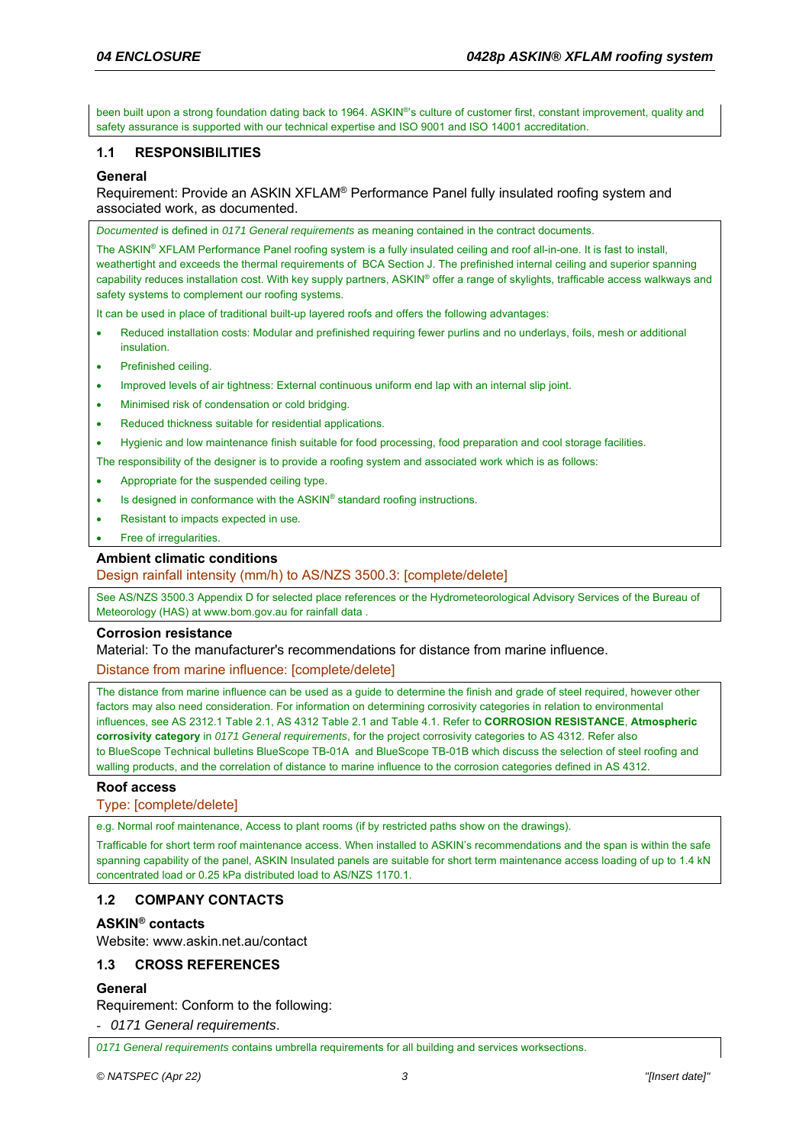been built upon a strong foundation dating back to 1964. ASKIN®'s culture of customer first, constant improvement, quality and safety assurance is supported with our technical expertise and ISO 9001 and ISO 14001 accreditation.

### **1.1 RESPONSIBILITIES**

### **General**

Requirement: Provide an ASKIN XFLAM® Performance Panel fully insulated roofing system and associated work, as documented.

*Documented* is defined in *0171 General requirements* as meaning contained in the contract documents.

The ASKIN® XFLAM Performance Panel roofing system is a fully insulated ceiling and roof all-in-one. It is fast to install, weathertight and exceeds the thermal requirements of BCA Section J. The prefinished internal ceiling and superior spanning capability reduces installation cost. With key supply partners, ASKIN® offer a range of skylights, trafficable access walkways and safety systems to complement our roofing systems.

It can be used in place of traditional built-up layered roofs and offers the following advantages:

- Reduced installation costs: Modular and prefinished requiring fewer purlins and no underlays, foils, mesh or additional insulation.
- Prefinished ceiling.
- Improved levels of air tightness: External continuous uniform end lap with an internal slip joint.
- Minimised risk of condensation or cold bridging.
- Reduced thickness suitable for residential applications.
- Hygienic and low maintenance finish suitable for food processing, food preparation and cool storage facilities.

The responsibility of the designer is to provide a roofing system and associated work which is as follows:

- Appropriate for the suspended ceiling type.
- Is designed in conformance with the ASKIN® standard roofing instructions.
- Resistant to impacts expected in use*.*
- Free of irregularities.

## **Ambient climatic conditions**

Design rainfall intensity (mm/h) to AS/NZS 3500.3: [complete/delete]

See AS/NZS 3500.3 Appendix D for selected place references or the Hydrometeorological Advisory Services of the Bureau of Meteorology (HAS) at www.bom.gov.au for rainfall data .

### **Corrosion resistance**

Material: To the manufacturer's recommendations for distance from marine influence.

Distance from marine influence: [complete/delete]

The distance from marine influence can be used as a guide to determine the finish and grade of steel required, however other factors may also need consideration. For information on determining corrosivity categories in relation to environmental influences, see AS 2312.1 Table 2.1, AS 4312 Table 2.1 and Table 4.1. Refer to **CORROSION RESISTANCE**, **Atmospheric corrosivity category** in *0171 General requirements*, for the project corrosivity categories to AS 4312. Refer also to BlueScope Technical bulletins BlueScope TB-01A and BlueScope TB-01B which discuss the selection of steel roofing and walling products, and the correlation of distance to marine influence to the corrosion categories defined in AS 4312.

### **Roof access**

Type: [complete/delete]

e.g. Normal roof maintenance, Access to plant rooms (if by restricted paths show on the drawings).

Trafficable for short term roof maintenance access. When installed to ASKIN's recommendations and the span is within the safe spanning capability of the panel, ASKIN Insulated panels are suitable for short term maintenance access loading of up to 1.4 kN concentrated load or 0.25 kPa distributed load to AS/NZS 1170.1.

## **1.2 COMPANY CONTACTS**

### **ASKIN® contacts**

Website: www.askin.net.au/contact

### **1.3 CROSS REFERENCES**

### **General**

Requirement: Conform to the following:

- *0171 General requirements*.

*0171 General requirements* contains umbrella requirements for all building and services worksections.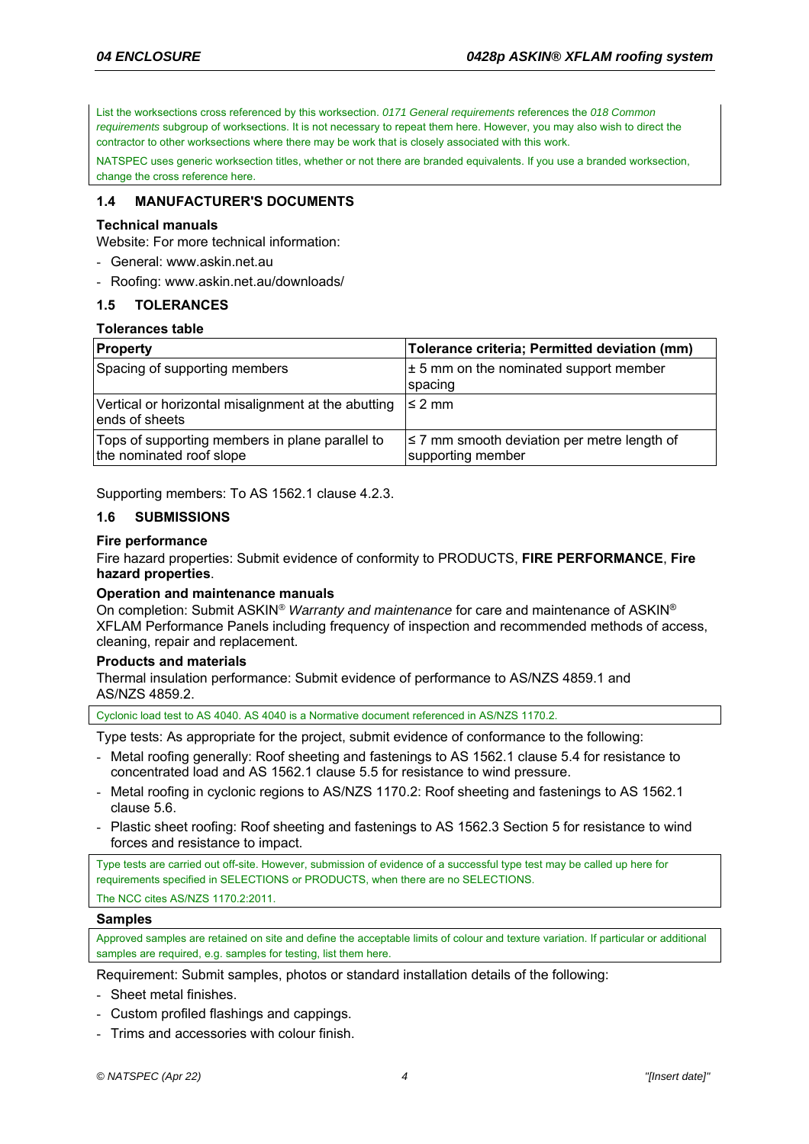List the worksections cross referenced by this worksection. *0171 General requirements* references the *018 Common requirements* subgroup of worksections. It is not necessary to repeat them here. However, you may also wish to direct the contractor to other worksections where there may be work that is closely associated with this work.

NATSPEC uses generic worksection titles, whether or not there are branded equivalents. If you use a branded worksection, change the cross reference here.

### **1.4 MANUFACTURER'S DOCUMENTS**

### **Technical manuals**

Website: For more technical information:

- General: www.askin.net.au
- Roofing: www.askin.net.au/downloads/

## **1.5 TOLERANCES**

## **Tolerances table**

| <b>Property</b>                                                             | Tolerance criteria; Permitted deviation (mm)                          |
|-----------------------------------------------------------------------------|-----------------------------------------------------------------------|
| Spacing of supporting members                                               | $\pm$ 5 mm on the nominated support member<br>spacing                 |
| Vertical or horizontal misalignment at the abutting<br>ends of sheets       | $\leq$ 2 mm                                                           |
| Tops of supporting members in plane parallel to<br>the nominated roof slope | $\leq$ 7 mm smooth deviation per metre length of<br>supporting member |

Supporting members: To AS 1562.1 clause 4.2.3.

## **1.6 SUBMISSIONS**

## **Fire performance**

Fire hazard properties: Submit evidence of conformity to PRODUCTS, **FIRE PERFORMANCE**, **Fire hazard properties**.

### **Operation and maintenance manuals**

On completion: Submit ASKIN*® Warranty and maintenance* for care and maintenance of ASKIN® XFLAM Performance Panels including frequency of inspection and recommended methods of access, cleaning, repair and replacement.

## **Products and materials**

Thermal insulation performance: Submit evidence of performance to AS/NZS 4859.1 and AS/NZS 4859.2.

Cyclonic load test to AS 4040. AS 4040 is a Normative document referenced in AS/NZS 1170.2.

Type tests: As appropriate for the project, submit evidence of conformance to the following:

- Metal roofing generally: Roof sheeting and fastenings to AS 1562.1 clause 5.4 for resistance to concentrated load and AS 1562.1 clause 5.5 for resistance to wind pressure.
- Metal roofing in cyclonic regions to AS/NZS 1170.2: Roof sheeting and fastenings to AS 1562.1 clause 5.6.
- Plastic sheet roofing: Roof sheeting and fastenings to AS 1562.3 Section 5 for resistance to wind forces and resistance to impact.

Type tests are carried out off-site. However, submission of evidence of a successful type test may be called up here for requirements specified in SELECTIONS or PRODUCTS, when there are no SELECTIONS.

The NCC cites AS/NZS 1170.2:2011.

### **Samples**

Approved samples are retained on site and define the acceptable limits of colour and texture variation. If particular or additional samples are required, e.g. samples for testing, list them here.

Requirement: Submit samples, photos or standard installation details of the following:

- Sheet metal finishes.
- Custom profiled flashings and cappings.
- Trims and accessories with colour finish.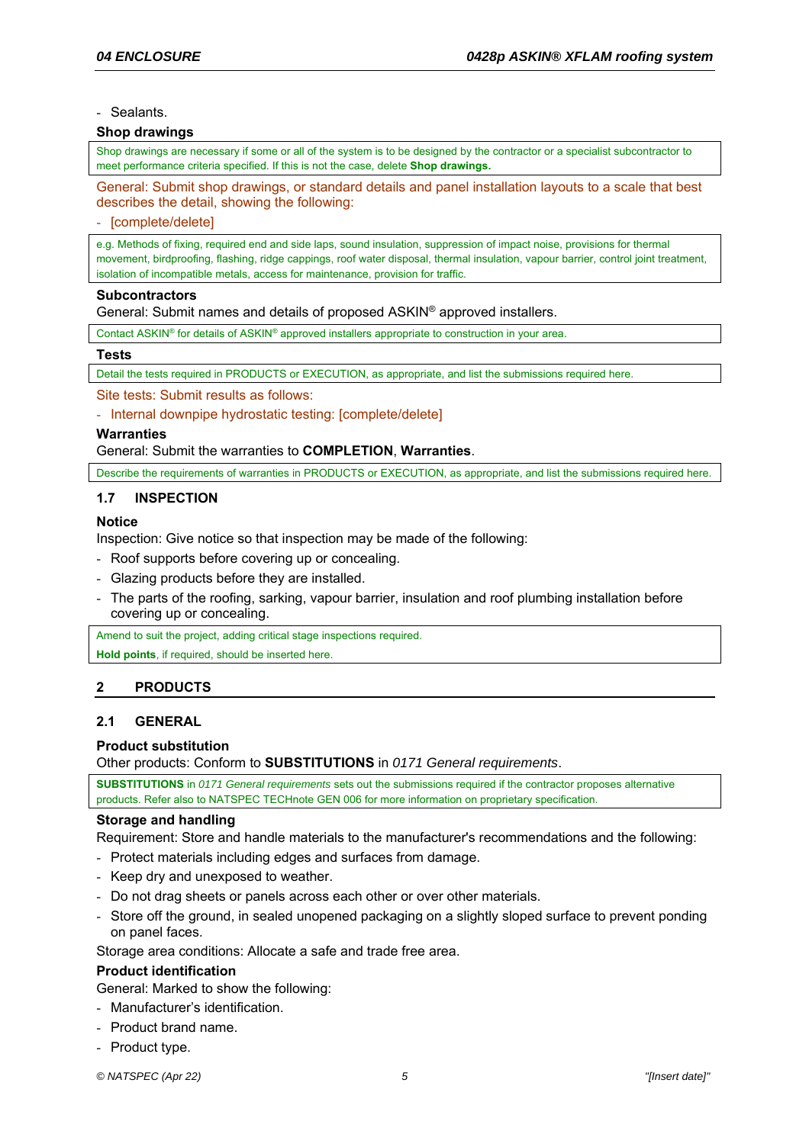# - Sealants.

#### **Shop drawings**

Shop drawings are necessary if some or all of the system is to be designed by the contractor or a specialist subcontractor to meet performance criteria specified. If this is not the case, delete **Shop drawings.**

General: Submit shop drawings, or standard details and panel installation layouts to a scale that best describes the detail, showing the following:

#### - [complete/delete]

e.g. Methods of fixing, required end and side laps, sound insulation, suppression of impact noise, provisions for thermal movement, birdproofing, flashing, ridge cappings, roof water disposal, thermal insulation, vapour barrier, control joint treatment, isolation of incompatible metals, access for maintenance, provision for traffic.

### **Subcontractors**

General: Submit names and details of proposed ASKIN® approved installers.

Contact ASKIN® for details of ASKIN® approved installers appropriate to construction in your area.

#### **Tests**

Detail the tests required in PRODUCTS or EXECUTION, as appropriate, and list the submissions required here.

Site tests: Submit results as follows:

- Internal downpipe hydrostatic testing: [complete/delete]

#### **Warranties**

General: Submit the warranties to **COMPLETION**, **Warranties**.

Describe the requirements of warranties in PRODUCTS or EXECUTION, as appropriate, and list the submissions required here.

## **1.7 INSPECTION**

### **Notice**

Inspection: Give notice so that inspection may be made of the following:

- Roof supports before covering up or concealing.
- Glazing products before they are installed.
- The parts of the roofing, sarking, vapour barrier, insulation and roof plumbing installation before covering up or concealing.

Amend to suit the project, adding critical stage inspections required.

**Hold points**, if required, should be inserted here.

## **2 PRODUCTS**

## **2.1 GENERAL**

### **Product substitution**

Other products: Conform to **SUBSTITUTIONS** in *0171 General requirements*.

**SUBSTITUTIONS** in *0171 General requirements* sets out the submissions required if the contractor proposes alternative products. Refer also to NATSPEC TECHnote GEN 006 for more information on proprietary specification.

### **Storage and handling**

Requirement: Store and handle materials to the manufacturer's recommendations and the following:

- Protect materials including edges and surfaces from damage.
- Keep dry and unexposed to weather.
- Do not drag sheets or panels across each other or over other materials.
- Store off the ground, in sealed unopened packaging on a slightly sloped surface to prevent ponding on panel faces.

Storage area conditions: Allocate a safe and trade free area.

### **Product identification**

General: Marked to show the following:

- Manufacturer's identification.
- Product brand name.
- Product type.

*© NATSPEC (Apr 22) 5 "[Insert date]"*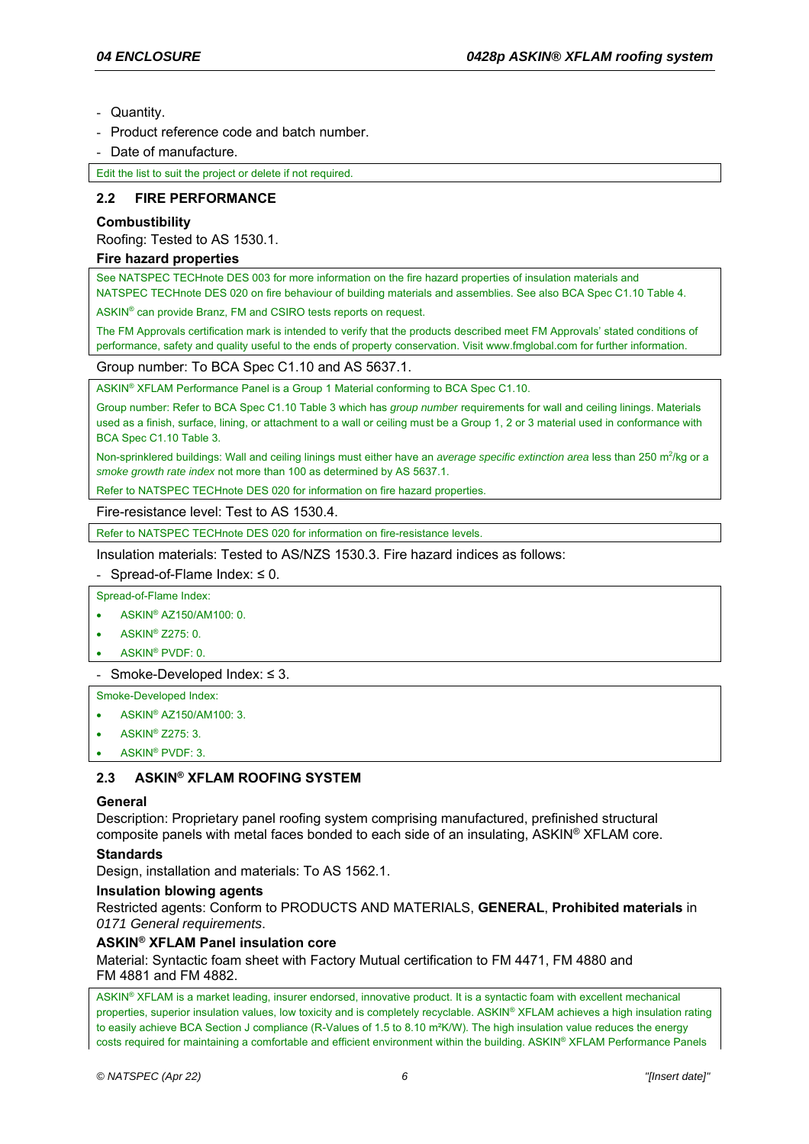- Quantity.
- Product reference code and batch number.
- Date of manufacture.

Edit the list to suit the project or delete if not required.

## **2.2 FIRE PERFORMANCE**

### **Combustibility**

Roofing: Tested to AS 1530.1.

### **Fire hazard properties**

See NATSPEC TECHnote DES 003 for more information on the fire hazard properties of insulation materials and NATSPEC TECHnote DES 020 on fire behaviour of building materials and assemblies. See also BCA Spec C1.10 Table 4.

ASKIN® can provide Branz, FM and CSIRO tests reports on request.

The FM Approvals certification mark is intended to verify that the products described meet FM Approvals' stated conditions of performance, safety and quality useful to the ends of property conservation. Visit www.fmglobal.com for further information.

Group number: To BCA Spec C1.10 and AS 5637.1.

ASKIN® XFLAM Performance Panel is a Group 1 Material conforming to BCA Spec C1.10.

Group number: Refer to BCA Spec C1.10 Table 3 which has *group number* requirements for wall and ceiling linings. Materials used as a finish, surface, lining, or attachment to a wall or ceiling must be a Group 1, 2 or 3 material used in conformance with BCA Spec C1.10 Table 3.

Non-sprinklered buildings: Wall and ceiling linings must either have an *average specific extinction area* less than 250 m<sup>2</sup>/kg or a *smoke growth rate index* not more than 100 as determined by AS 5637.1.

Refer to NATSPEC TECHnote DES 020 for information on fire hazard properties.

Fire-resistance level: Test to AS 1530.4.

Refer to NATSPEC TECHnote DES 020 for information on fire-resistance levels.

Insulation materials: Tested to AS/NZS 1530.3. Fire hazard indices as follows:

- Spread-of-Flame Index: ≤ 0.

### Spread-of-Flame Index:

- ASKIN® AZ150/AM100: 0.
- ASKIN® Z275: 0.
- ASKIN® PVDF: 0.

- Smoke-Developed Index: ≤ 3.

Smoke-Developed Index:

- ASKIN® AZ150/AM100: 3.
- ASKIN® Z275: 3.
- ASKIN® PVDF: 3.

## **2.3 ASKIN® XFLAM ROOFING SYSTEM**

### **General**

Description: Proprietary panel roofing system comprising manufactured, prefinished structural composite panels with metal faces bonded to each side of an insulating, ASKIN® XFLAM core.

### **Standards**

Design, installation and materials: To AS 1562.1.

### **Insulation blowing agents**

Restricted agents: Conform to PRODUCTS AND MATERIALS, **GENERAL**, **Prohibited materials** in *0171 General requirements*.

## **ASKIN® XFLAM Panel insulation core**

Material: Syntactic foam sheet with Factory Mutual certification to FM 4471, FM 4880 and FM 4881 and FM 4882.

ASKIN® XFLAM is a market leading, insurer endorsed, innovative product. It is a syntactic foam with excellent mechanical properties, superior insulation values, low toxicity and is completely recyclable. ASKIN® XFLAM achieves a high insulation rating to easily achieve BCA Section J compliance (R-Values of 1.5 to 8.10 m²K/W). The high insulation value reduces the energy costs required for maintaining a comfortable and efficient environment within the building. ASKIN® XFLAM Performance Panels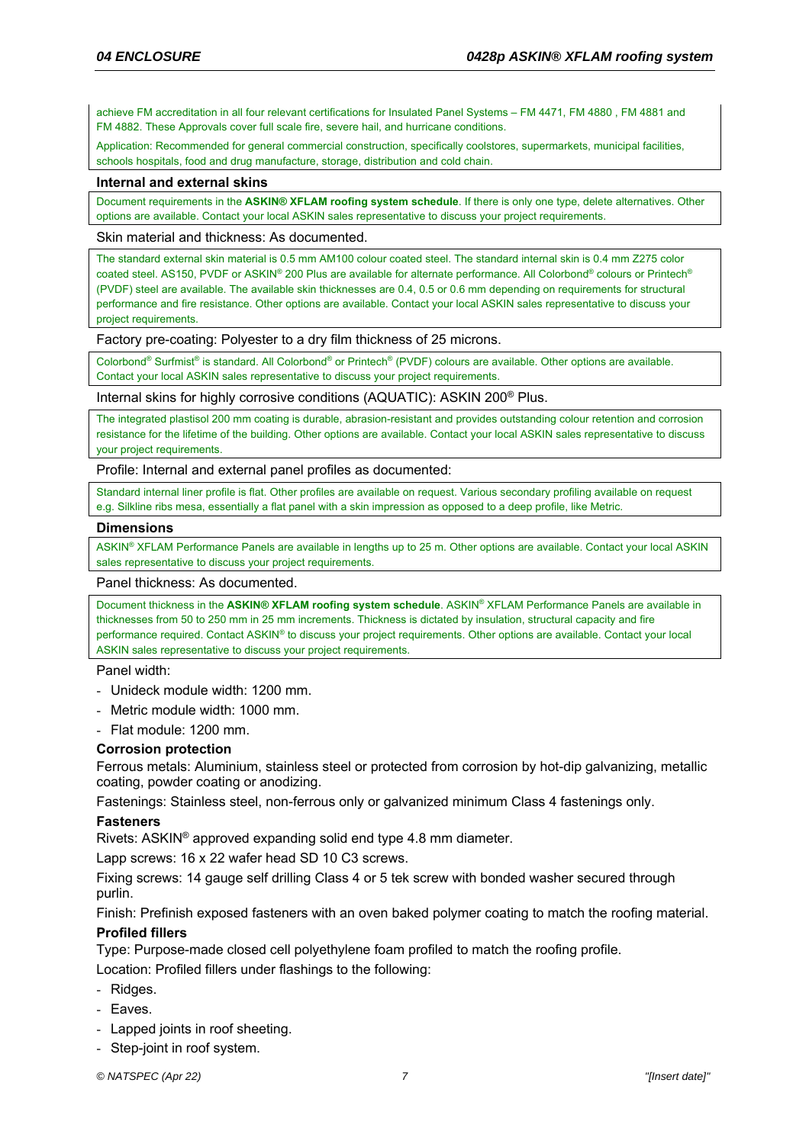achieve FM accreditation in all four relevant certifications for Insulated Panel Systems – FM 4471, FM 4880 , FM 4881 and FM 4882. These Approvals cover full scale fire, severe hail, and hurricane conditions.

Application: Recommended for general commercial construction, specifically coolstores, supermarkets, municipal facilities, schools hospitals, food and drug manufacture, storage, distribution and cold chain.

#### **Internal and external skins**

Document requirements in the **ASKIN® XFLAM roofing system schedule**. If there is only one type, delete alternatives. Other options are available. Contact your local ASKIN sales representative to discuss your project requirements.

Skin material and thickness: As documented.

The standard external skin material is 0.5 mm AM100 colour coated steel. The standard internal skin is 0.4 mm Z275 color coated steel. AS150, PVDF or ASKIN® 200 Plus are available for alternate performance. All Colorbond® colours or Printech® (PVDF) steel are available. The available skin thicknesses are 0.4, 0.5 or 0.6 mm depending on requirements for structural performance and fire resistance. Other options are available. Contact your local ASKIN sales representative to discuss your project requirements.

Factory pre-coating: Polyester to a dry film thickness of 25 microns.

Colorbond® Surfmist® is standard. All Colorbond® or Printech® (PVDF) colours are available. Other options are available. Contact your local ASKIN sales representative to discuss your project requirements.

Internal skins for highly corrosive conditions (AQUATIC): ASKIN 200® Plus.

The integrated plastisol 200 mm coating is durable, abrasion-resistant and provides outstanding colour retention and corrosion resistance for the lifetime of the building. Other options are available. Contact your local ASKIN sales representative to discuss your project requirements.

Profile: Internal and external panel profiles as documented:

Standard internal liner profile is flat. Other profiles are available on request. Various secondary profiling available on request e.g. Silkline ribs mesa, essentially a flat panel with a skin impression as opposed to a deep profile, like Metric.

#### **Dimensions**

ASKIN® XFLAM Performance Panels are available in lengths up to 25 m. Other options are available. Contact your local ASKIN sales representative to discuss your project requirements.

Panel thickness: As documented.

Document thickness in the **ASKIN® XFLAM roofing system schedule**. ASKIN® XFLAM Performance Panels are available in thicknesses from 50 to 250 mm in 25 mm increments. Thickness is dictated by insulation, structural capacity and fire performance required. Contact ASKIN® to discuss your project requirements. Other options are available. Contact your local ASKIN sales representative to discuss your project requirements.

Panel width:

- Unideck module width: 1200 mm.
- Metric module width: 1000 mm.
- Flat module: 1200 mm.

### **Corrosion protection**

Ferrous metals: Aluminium, stainless steel or protected from corrosion by hot-dip galvanizing, metallic coating, powder coating or anodizing.

Fastenings: Stainless steel, non-ferrous only or galvanized minimum Class 4 fastenings only.

### **Fasteners**

Rivets: ASKIN® approved expanding solid end type 4.8 mm diameter.

Lapp screws: 16 x 22 wafer head SD 10 C3 screws.

Fixing screws: 14 gauge self drilling Class 4 or 5 tek screw with bonded washer secured through purlin.

Finish: Prefinish exposed fasteners with an oven baked polymer coating to match the roofing material.

### **Profiled fillers**

Type: Purpose-made closed cell polyethylene foam profiled to match the roofing profile.

Location: Profiled fillers under flashings to the following:

- Ridges.
- Eaves.
- Lapped joints in roof sheeting.
- Step-joint in roof system.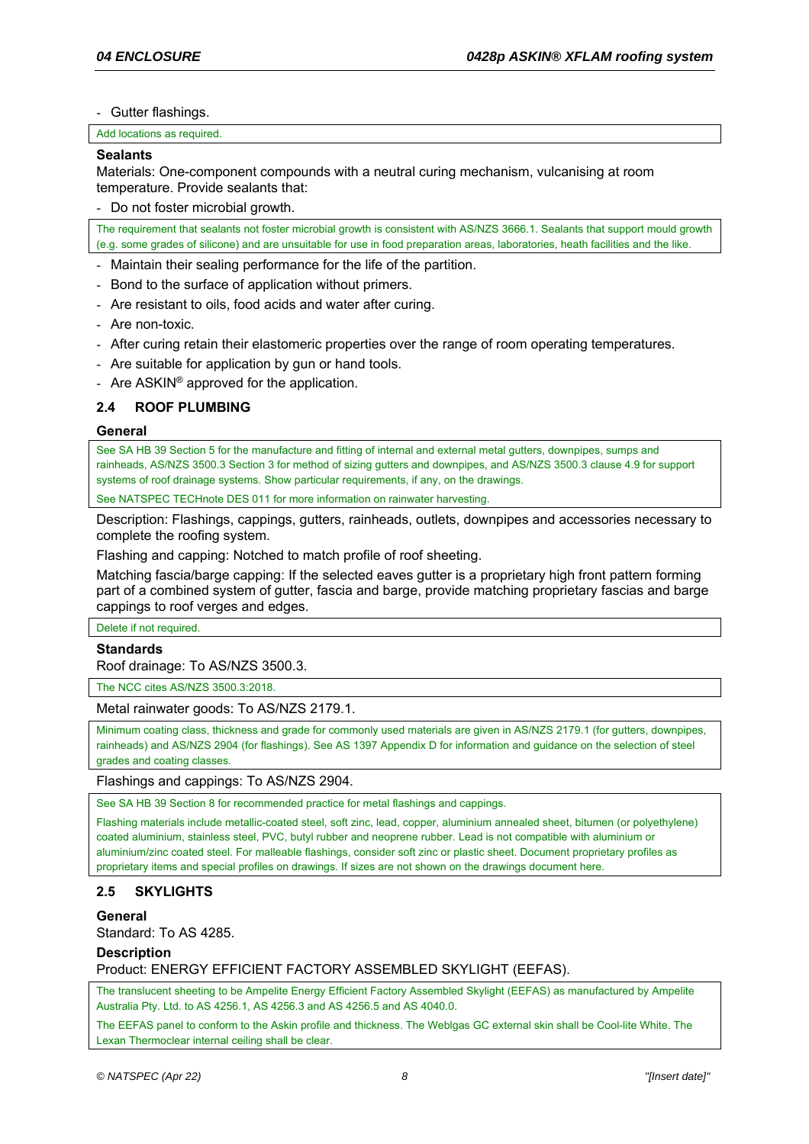#### - Gutter flashings.

Add locations as required.

#### **Sealants**

Materials: One-component compounds with a neutral curing mechanism, vulcanising at room temperature. Provide sealants that:

- Do not foster microbial growth.

The requirement that sealants not foster microbial growth is consistent with AS/NZS 3666.1. Sealants that support mould growth (e.g. some grades of silicone) and are unsuitable for use in food preparation areas, laboratories, heath facilities and the like.

- Maintain their sealing performance for the life of the partition.
- Bond to the surface of application without primers.
- Are resistant to oils, food acids and water after curing.
- Are non-toxic.
- After curing retain their elastomeric properties over the range of room operating temperatures.
- Are suitable for application by gun or hand tools.
- Are ASKIN<sup>®</sup> approved for the application.

## **2.4 ROOF PLUMBING**

#### **General**

See SA HB 39 Section 5 for the manufacture and fitting of internal and external metal gutters, downpipes, sumps and rainheads, AS/NZS 3500.3 Section 3 for method of sizing gutters and downpipes, and AS/NZS 3500.3 clause 4.9 for support systems of roof drainage systems. Show particular requirements, if any, on the drawings.

See NATSPEC TECHnote DES 011 for more information on rainwater harvesting.

Description: Flashings, cappings, gutters, rainheads, outlets, downpipes and accessories necessary to complete the roofing system.

Flashing and capping: Notched to match profile of roof sheeting.

Matching fascia/barge capping: If the selected eaves gutter is a proprietary high front pattern forming part of a combined system of gutter, fascia and barge, provide matching proprietary fascias and barge cappings to roof verges and edges.

Delete if not required.

#### **Standards**

Roof drainage: To AS/NZS 3500.3.

The NCC cites AS/NZS 3500.3:2018.

Metal rainwater goods: To AS/NZS 2179.1.

Minimum coating class, thickness and grade for commonly used materials are given in AS/NZS 2179.1 (for gutters, downpipes, rainheads) and AS/NZS 2904 (for flashings). See AS 1397 Appendix D for information and guidance on the selection of steel grades and coating classes.

#### Flashings and cappings: To AS/NZS 2904.

See SA HB 39 Section 8 for recommended practice for metal flashings and cappings.

Flashing materials include metallic-coated steel, soft zinc, lead, copper, aluminium annealed sheet, bitumen (or polyethylene) coated aluminium, stainless steel, PVC, butyl rubber and neoprene rubber. Lead is not compatible with aluminium or aluminium/zinc coated steel. For malleable flashings, consider soft zinc or plastic sheet. Document proprietary profiles as proprietary items and special profiles on drawings. If sizes are not shown on the drawings document here.

### **2.5 SKYLIGHTS**

### **General**

Standard: To AS 4285.

### **Description**

Product: ENERGY EFFICIENT FACTORY ASSEMBLED SKYLIGHT (EEFAS).

The translucent sheeting to be Ampelite Energy Efficient Factory Assembled Skylight (EEFAS) as manufactured by Ampelite Australia Pty. Ltd. to AS 4256.1, AS 4256.3 and AS 4256.5 and AS 4040.0.

The EEFAS panel to conform to the Askin profile and thickness. The Weblgas GC external skin shall be Cool-lite White. The Lexan Thermoclear internal ceiling shall be clear.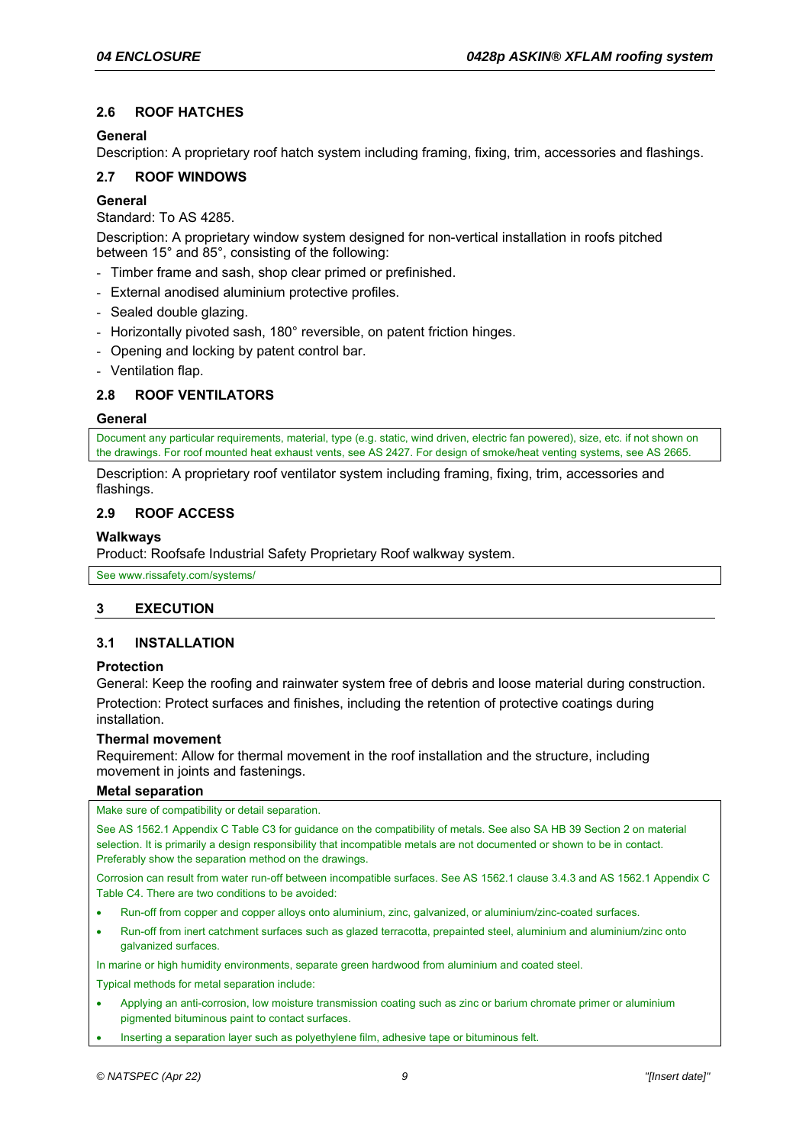# **2.6 ROOF HATCHES**

### **General**

Description: A proprietary roof hatch system including framing, fixing, trim, accessories and flashings.

## **2.7 ROOF WINDOWS**

### **General**

Standard: To AS 4285.

Description: A proprietary window system designed for non-vertical installation in roofs pitched between 15° and 85°, consisting of the following:

- Timber frame and sash, shop clear primed or prefinished.
- External anodised aluminium protective profiles.
- Sealed double glazing.
- Horizontally pivoted sash, 180° reversible, on patent friction hinges.
- Opening and locking by patent control bar.
- Ventilation flap.

## **2.8 ROOF VENTILATORS**

### **General**

Document any particular requirements, material, type (e.g. static, wind driven, electric fan powered), size, etc. if not shown on the drawings. For roof mounted heat exhaust vents, see AS 2427. For design of smoke/heat venting systems, see AS 2665.

Description: A proprietary roof ventilator system including framing, fixing, trim, accessories and flashings.

## **2.9 ROOF ACCESS**

### **Walkways**

Product: Roofsafe Industrial Safety Proprietary Roof walkway system.

See www.rissafety.com/systems/

## **3 EXECUTION**

### **3.1 INSTALLATION**

### **Protection**

General: Keep the roofing and rainwater system free of debris and loose material during construction. Protection: Protect surfaces and finishes, including the retention of protective coatings during installation.

### **Thermal movement**

Requirement: Allow for thermal movement in the roof installation and the structure, including movement in joints and fastenings.

### **Metal separation**

Make sure of compatibility or detail separation.

See AS 1562.1 Appendix C Table C3 for guidance on the compatibility of metals. See also SA HB 39 Section 2 on material selection. It is primarily a design responsibility that incompatible metals are not documented or shown to be in contact. Preferably show the separation method on the drawings.

Corrosion can result from water run-off between incompatible surfaces. See AS 1562.1 clause 3.4.3 and AS 1562.1 Appendix C Table C4. There are two conditions to be avoided:

- Run-off from copper and copper alloys onto aluminium, zinc, galvanized, or aluminium/zinc-coated surfaces.
- Run-off from inert catchment surfaces such as glazed terracotta, prepainted steel, aluminium and aluminium/zinc onto galvanized surfaces.

In marine or high humidity environments, separate green hardwood from aluminium and coated steel.

Typical methods for metal separation include:

- Applying an anti-corrosion, low moisture transmission coating such as zinc or barium chromate primer or aluminium pigmented bituminous paint to contact surfaces.
- Inserting a separation layer such as polyethylene film, adhesive tape or bituminous felt.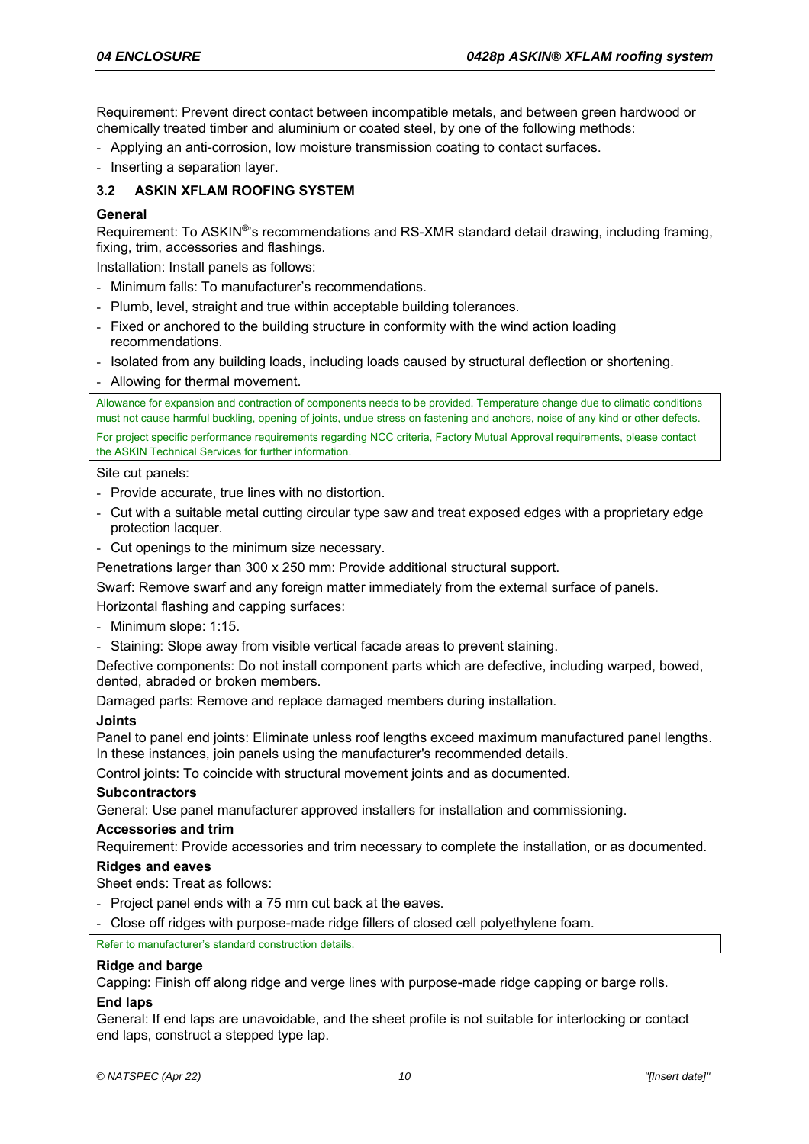Requirement: Prevent direct contact between incompatible metals, and between green hardwood or chemically treated timber and aluminium or coated steel, by one of the following methods:

- Applying an anti-corrosion, low moisture transmission coating to contact surfaces.
- Inserting a separation layer.

## **3.2 ASKIN XFLAM ROOFING SYSTEM**

### **General**

Requirement: To ASKIN®'s recommendations and RS-XMR standard detail drawing, including framing, fixing, trim, accessories and flashings.

Installation: Install panels as follows:

- Minimum falls: To manufacturer's recommendations.
- Plumb, level, straight and true within acceptable building tolerances.
- Fixed or anchored to the building structure in conformity with the wind action loading recommendations.
- Isolated from any building loads, including loads caused by structural deflection or shortening.
- Allowing for thermal movement.

Allowance for expansion and contraction of components needs to be provided. Temperature change due to climatic conditions must not cause harmful buckling, opening of joints, undue stress on fastening and anchors, noise of any kind or other defects. For project specific performance requirements regarding NCC criteria, Factory Mutual Approval requirements, please contact the ASKIN Technical Services for further information.

Site cut panels:

- Provide accurate, true lines with no distortion.
- Cut with a suitable metal cutting circular type saw and treat exposed edges with a proprietary edge protection lacquer.
- Cut openings to the minimum size necessary.

Penetrations larger than 300 x 250 mm: Provide additional structural support.

Swarf: Remove swarf and any foreign matter immediately from the external surface of panels.

Horizontal flashing and capping surfaces:

- Minimum slope: 1:15.
- Staining: Slope away from visible vertical facade areas to prevent staining.

Defective components: Do not install component parts which are defective, including warped, bowed, dented, abraded or broken members.

Damaged parts: Remove and replace damaged members during installation.

### **Joints**

Panel to panel end joints: Eliminate unless roof lengths exceed maximum manufactured panel lengths. In these instances, join panels using the manufacturer's recommended details.

Control joints: To coincide with structural movement joints and as documented.

### **Subcontractors**

General: Use panel manufacturer approved installers for installation and commissioning.

### **Accessories and trim**

Requirement: Provide accessories and trim necessary to complete the installation, or as documented.

### **Ridges and eaves**

Sheet ends: Treat as follows:

- Project panel ends with a 75 mm cut back at the eaves.
- Close off ridges with purpose-made ridge fillers of closed cell polyethylene foam.

Refer to manufacturer's standard construction details.

### **Ridge and barge**

Capping: Finish off along ridge and verge lines with purpose-made ridge capping or barge rolls. **End laps** 

General: If end laps are unavoidable, and the sheet profile is not suitable for interlocking or contact end laps, construct a stepped type lap.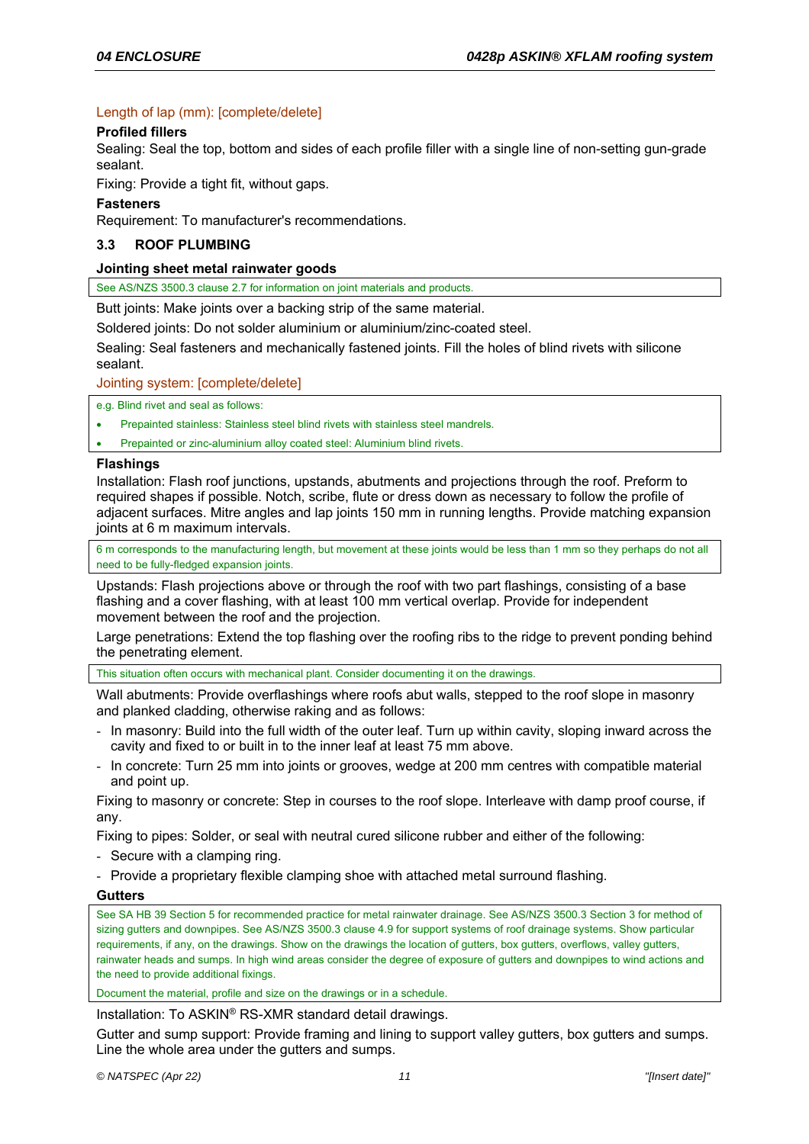# Length of lap (mm): [complete/delete]

## **Profiled fillers**

Sealing: Seal the top, bottom and sides of each profile filler with a single line of non-setting gun-grade sealant.

Fixing: Provide a tight fit, without gaps.

## **Fasteners**

Requirement: To manufacturer's recommendations.

## **3.3 ROOF PLUMBING**

### **Jointing sheet metal rainwater goods**

See AS/NZS 3500.3 clause 2.7 for information on joint materials and products.

Butt joints: Make joints over a backing strip of the same material.

Soldered joints: Do not solder aluminium or aluminium/zinc-coated steel.

Sealing: Seal fasteners and mechanically fastened joints. Fill the holes of blind rivets with silicone sealant.

Jointing system: [complete/delete]

e.g. Blind rivet and seal as follows:

- Prepainted stainless: Stainless steel blind rivets with stainless steel mandrels.
- Prepainted or zinc-aluminium alloy coated steel: Aluminium blind rivets.

### **Flashings**

Installation: Flash roof junctions, upstands, abutments and projections through the roof. Preform to required shapes if possible. Notch, scribe, flute or dress down as necessary to follow the profile of adjacent surfaces. Mitre angles and lap joints 150 mm in running lengths. Provide matching expansion joints at 6 m maximum intervals.

6 m corresponds to the manufacturing length, but movement at these joints would be less than 1 mm so they perhaps do not all need to be fully-fledged expansion joints.

Upstands: Flash projections above or through the roof with two part flashings, consisting of a base flashing and a cover flashing, with at least 100 mm vertical overlap. Provide for independent movement between the roof and the projection.

Large penetrations: Extend the top flashing over the roofing ribs to the ridge to prevent ponding behind the penetrating element.

This situation often occurs with mechanical plant. Consider documenting it on the drawings.

Wall abutments: Provide overflashings where roofs abut walls, stepped to the roof slope in masonry and planked cladding, otherwise raking and as follows:

- In masonry: Build into the full width of the outer leaf. Turn up within cavity, sloping inward across the cavity and fixed to or built in to the inner leaf at least 75 mm above.
- In concrete: Turn 25 mm into joints or grooves, wedge at 200 mm centres with compatible material and point up.

Fixing to masonry or concrete: Step in courses to the roof slope. Interleave with damp proof course, if any.

Fixing to pipes: Solder, or seal with neutral cured silicone rubber and either of the following:

- Secure with a clamping ring.
- Provide a proprietary flexible clamping shoe with attached metal surround flashing.

### **Gutters**

See SA HB 39 Section 5 for recommended practice for metal rainwater drainage. See AS/NZS 3500.3 Section 3 for method of sizing gutters and downpipes. See AS/NZS 3500.3 clause 4.9 for support systems of roof drainage systems. Show particular requirements, if any, on the drawings. Show on the drawings the location of gutters, box gutters, overflows, valley gutters, rainwater heads and sumps. In high wind areas consider the degree of exposure of gutters and downpipes to wind actions and the need to provide additional fixings.

Document the material, profile and size on the drawings or in a schedule.

Installation: To ASKIN® RS-XMR standard detail drawings.

Gutter and sump support: Provide framing and lining to support valley gutters, box gutters and sumps. Line the whole area under the gutters and sumps.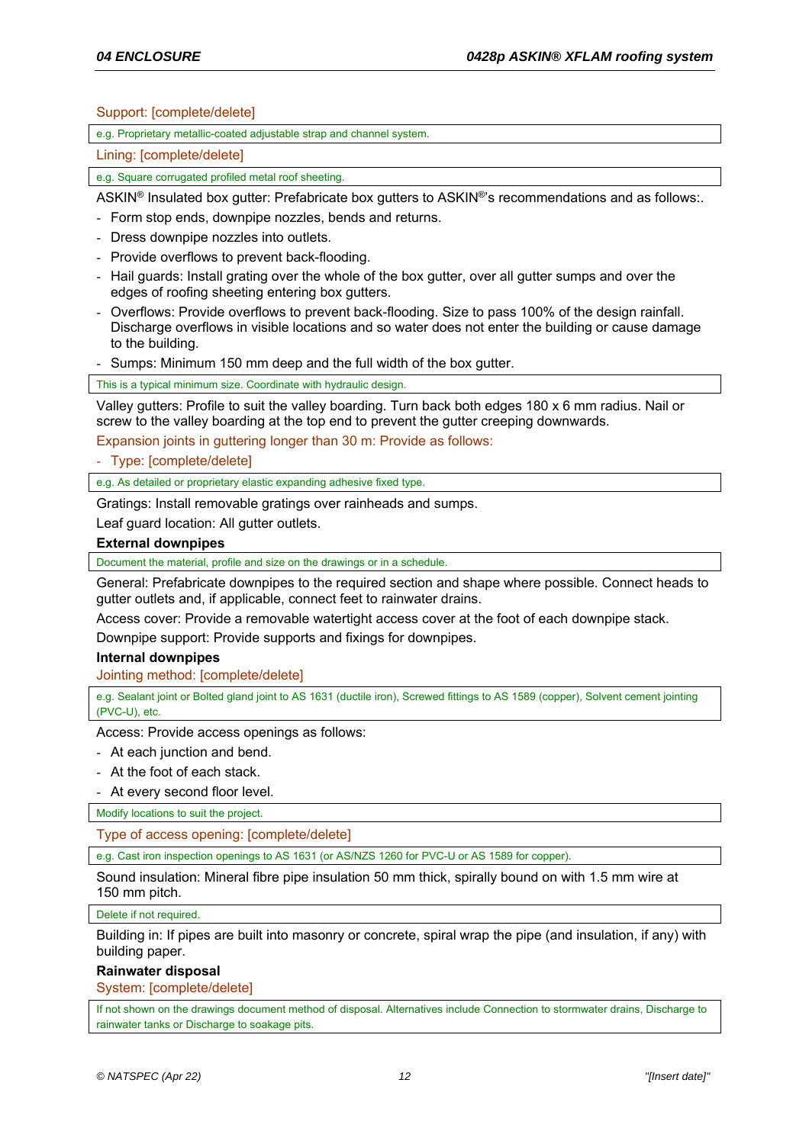Support: [complete/delete]

e.g. Proprietary metallic-coated adjustable strap and channel system.

Lining: [complete/delete]

e.g. Square corrugated profiled metal roof sheeting.

ASKIN® Insulated box gutter: Prefabricate box gutters to ASKIN®'s recommendations and as follows:.

- Form stop ends, downpipe nozzles, bends and returns.
- Dress downpipe nozzles into outlets.
- Provide overflows to prevent back-flooding.
- Hail guards: Install grating over the whole of the box gutter, over all gutter sumps and over the edges of roofing sheeting entering box gutters.
- Overflows: Provide overflows to prevent back-flooding. Size to pass 100% of the design rainfall. Discharge overflows in visible locations and so water does not enter the building or cause damage to the building.
- Sumps: Minimum 150 mm deep and the full width of the box gutter.

This is a typical minimum size. Coordinate with hydraulic design.

Valley gutters: Profile to suit the valley boarding. Turn back both edges 180 x 6 mm radius. Nail or screw to the valley boarding at the top end to prevent the gutter creeping downwards.

Expansion joints in guttering longer than 30 m: Provide as follows:

- Type: [complete/delete]

e.g. As detailed or proprietary elastic expanding adhesive fixed type.

Gratings: Install removable gratings over rainheads and sumps.

Leaf guard location: All gutter outlets.

#### **External downpipes**

Document the material, profile and size on the drawings or in a schedule.

General: Prefabricate downpipes to the required section and shape where possible. Connect heads to gutter outlets and, if applicable, connect feet to rainwater drains.

Access cover: Provide a removable watertight access cover at the foot of each downpipe stack.

Downpipe support: Provide supports and fixings for downpipes.

#### **Internal downpipes**

Jointing method: [complete/delete]

e.g. Sealant joint or Bolted gland joint to AS 1631 (ductile iron), Screwed fittings to AS 1589 (copper), Solvent cement jointing (PVC-U), etc.

Access: Provide access openings as follows:

- At each junction and bend.
- At the foot of each stack.

- At every second floor level.

Modify locations to suit the project.

Type of access opening: [complete/delete]

e.g. Cast iron inspection openings to AS 1631 (or AS/NZS 1260 for PVC-U or AS 1589 for copper).

Sound insulation: Mineral fibre pipe insulation 50 mm thick, spirally bound on with 1.5 mm wire at 150 mm pitch.

Delete if not required.

Building in: If pipes are built into masonry or concrete, spiral wrap the pipe (and insulation, if any) with building paper.

#### **Rainwater disposal**

System: [complete/delete]

If not shown on the drawings document method of disposal. Alternatives include Connection to stormwater drains, Discharge to rainwater tanks or Discharge to soakage pits.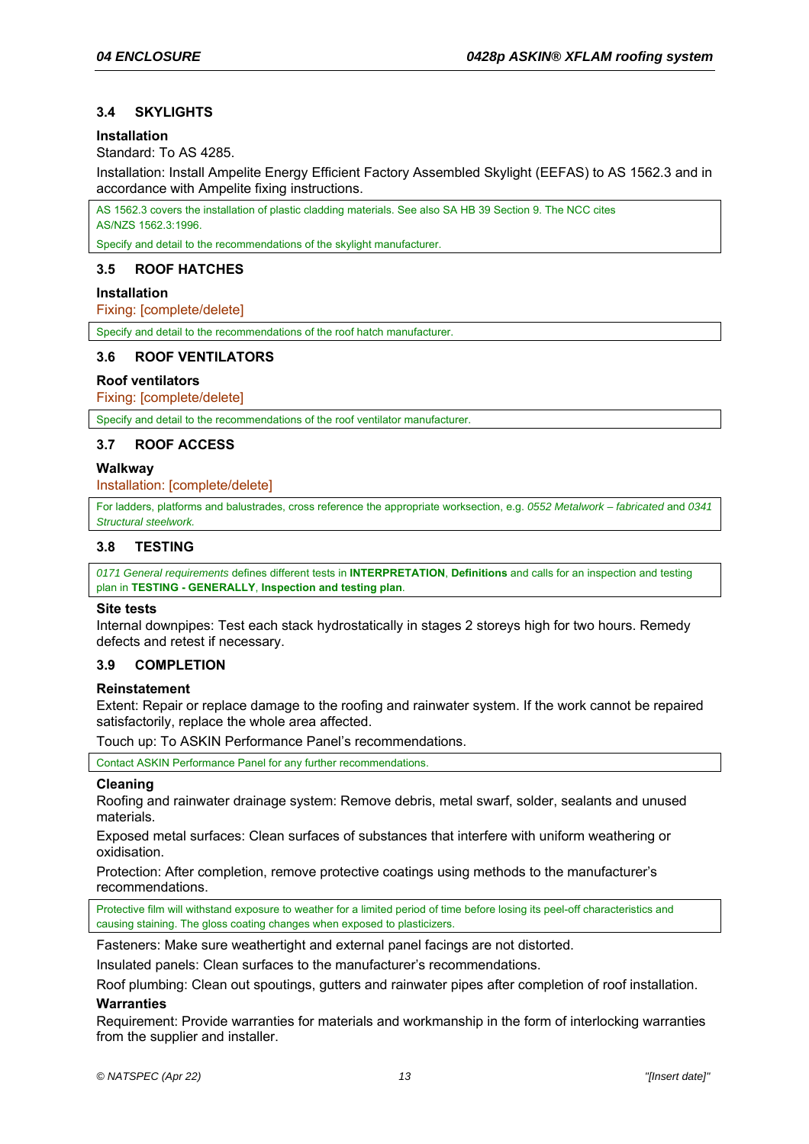# **3.4 SKYLIGHTS**

### **Installation**

Standard: To AS 4285.

Installation: Install Ampelite Energy Efficient Factory Assembled Skylight (EEFAS) to AS 1562.3 and in accordance with Ampelite fixing instructions.

AS 1562.3 covers the installation of plastic cladding materials. See also SA HB 39 Section 9. The NCC cites AS/NZS 1562.3:1996.

Specify and detail to the recommendations of the skylight manufacturer.

## **3.5 ROOF HATCHES**

### **Installation**

Fixing: [complete/delete]

Specify and detail to the recommendations of the roof hatch manufacturer.

## **3.6 ROOF VENTILATORS**

## **Roof ventilators**

Fixing: [complete/delete]

Specify and detail to the recommendations of the roof ventilator manufacturer.

## **3.7 ROOF ACCESS**

### **Walkway**

Installation: [complete/delete]

For ladders, platforms and balustrades, cross reference the appropriate worksection, e.g. *0552 Metalwork – fabricated* and *0341 Structural steelwork.*

## **3.8 TESTING**

*0171 General requirements* defines different tests in **INTERPRETATION**, **Definitions** and calls for an inspection and testing plan in **TESTING - GENERALLY**, **Inspection and testing plan**.

### **Site tests**

Internal downpipes: Test each stack hydrostatically in stages 2 storeys high for two hours. Remedy defects and retest if necessary.

### **3.9 COMPLETION**

### **Reinstatement**

Extent: Repair or replace damage to the roofing and rainwater system. If the work cannot be repaired satisfactorily, replace the whole area affected.

Touch up: To ASKIN Performance Panel's recommendations.

Contact ASKIN Performance Panel for any further recommendations.

### **Cleaning**

Roofing and rainwater drainage system: Remove debris, metal swarf, solder, sealants and unused materials.

Exposed metal surfaces: Clean surfaces of substances that interfere with uniform weathering or oxidisation.

Protection: After completion, remove protective coatings using methods to the manufacturer's recommendations.

Protective film will withstand exposure to weather for a limited period of time before losing its peel-off characteristics and causing staining. The gloss coating changes when exposed to plasticizers.

Fasteners: Make sure weathertight and external panel facings are not distorted.

Insulated panels: Clean surfaces to the manufacturer's recommendations.

Roof plumbing: Clean out spoutings, gutters and rainwater pipes after completion of roof installation.

## **Warranties**

Requirement: Provide warranties for materials and workmanship in the form of interlocking warranties from the supplier and installer.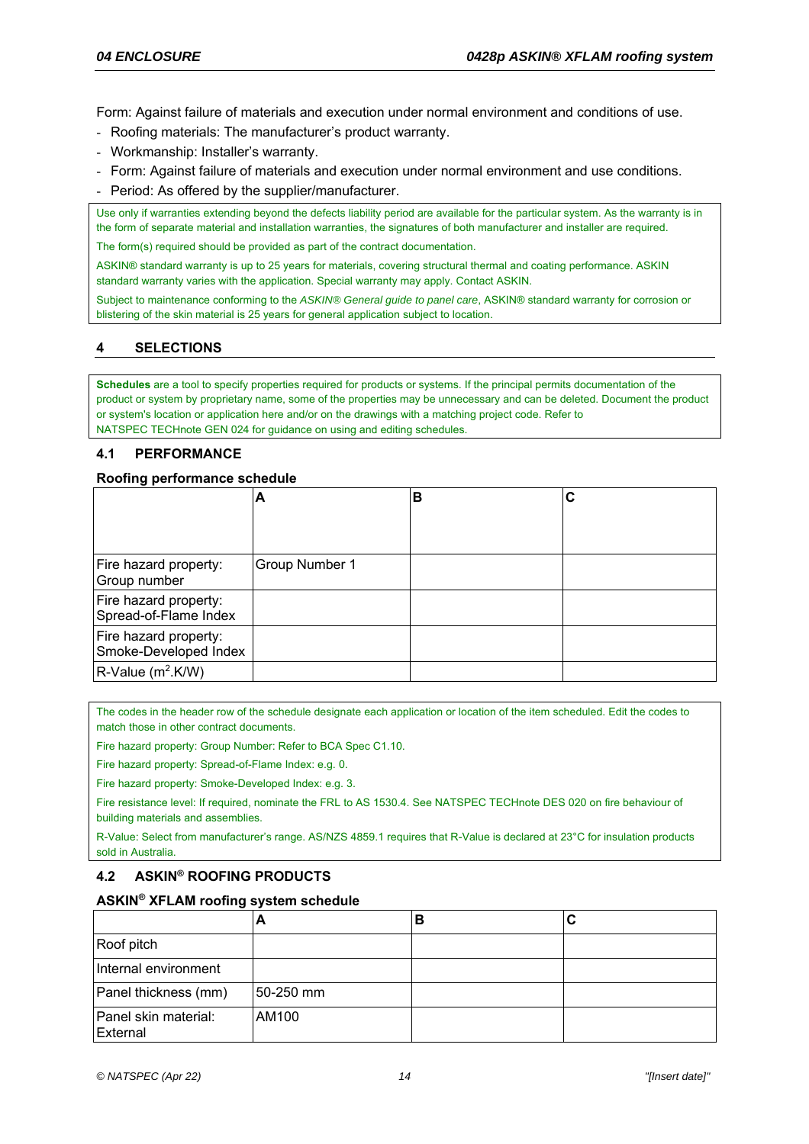Form: Against failure of materials and execution under normal environment and conditions of use.

- Roofing materials: The manufacturer's product warranty.
- Workmanship: Installer's warranty.
- Form: Against failure of materials and execution under normal environment and use conditions.
- Period: As offered by the supplier/manufacturer.

Use only if warranties extending beyond the defects liability period are available for the particular system. As the warranty is in the form of separate material and installation warranties, the signatures of both manufacturer and installer are required. The form(s) required should be provided as part of the contract documentation.

ASKIN® standard warranty is up to 25 years for materials, covering structural thermal and coating performance. ASKIN standard warranty varies with the application. Special warranty may apply. Contact ASKIN.

Subject to maintenance conforming to the *ASKIN® General guide to panel care*, ASKIN® standard warranty for corrosion or blistering of the skin material is 25 years for general application subject to location.

# **4 SELECTIONS**

**Schedules** are a tool to specify properties required for products or systems. If the principal permits documentation of the product or system by proprietary name, some of the properties may be unnecessary and can be deleted. Document the product or system's location or application here and/or on the drawings with a matching project code. Refer to NATSPEC TECHnote GEN 024 for guidance on using and editing schedules.

## **4.1 PERFORMANCE**

### **Roofing performance schedule**

|                                                | А              | В | С |
|------------------------------------------------|----------------|---|---|
|                                                |                |   |   |
|                                                |                |   |   |
| Fire hazard property:<br>Group number          | Group Number 1 |   |   |
| Fire hazard property:<br>Spread-of-Flame Index |                |   |   |
| Fire hazard property:<br>Smoke-Developed Index |                |   |   |
| $R$ -Value (m <sup>2</sup> .K/W)               |                |   |   |

The codes in the header row of the schedule designate each application or location of the item scheduled. Edit the codes to match those in other contract documents.

Fire hazard property: Group Number: Refer to BCA Spec C1.10.

Fire hazard property: Spread-of-Flame Index: e.g. 0.

Fire hazard property: Smoke-Developed Index: e.g. 3.

Fire resistance level: If required, nominate the FRL to AS 1530.4. See NATSPEC TECHnote DES 020 on fire behaviour of building materials and assemblies.

R-Value: Select from manufacturer's range. AS/NZS 4859.1 requires that R-Value is declared at 23°C for insulation products sold in Australia.

# **4.2 ASKIN® ROOFING PRODUCTS**

## **ASKIN® XFLAM roofing system schedule**

|                                  | m         |  |
|----------------------------------|-----------|--|
| Roof pitch                       |           |  |
| Internal environment             |           |  |
| Panel thickness (mm)             | 50-250 mm |  |
| Panel skin material:<br>External | AM100     |  |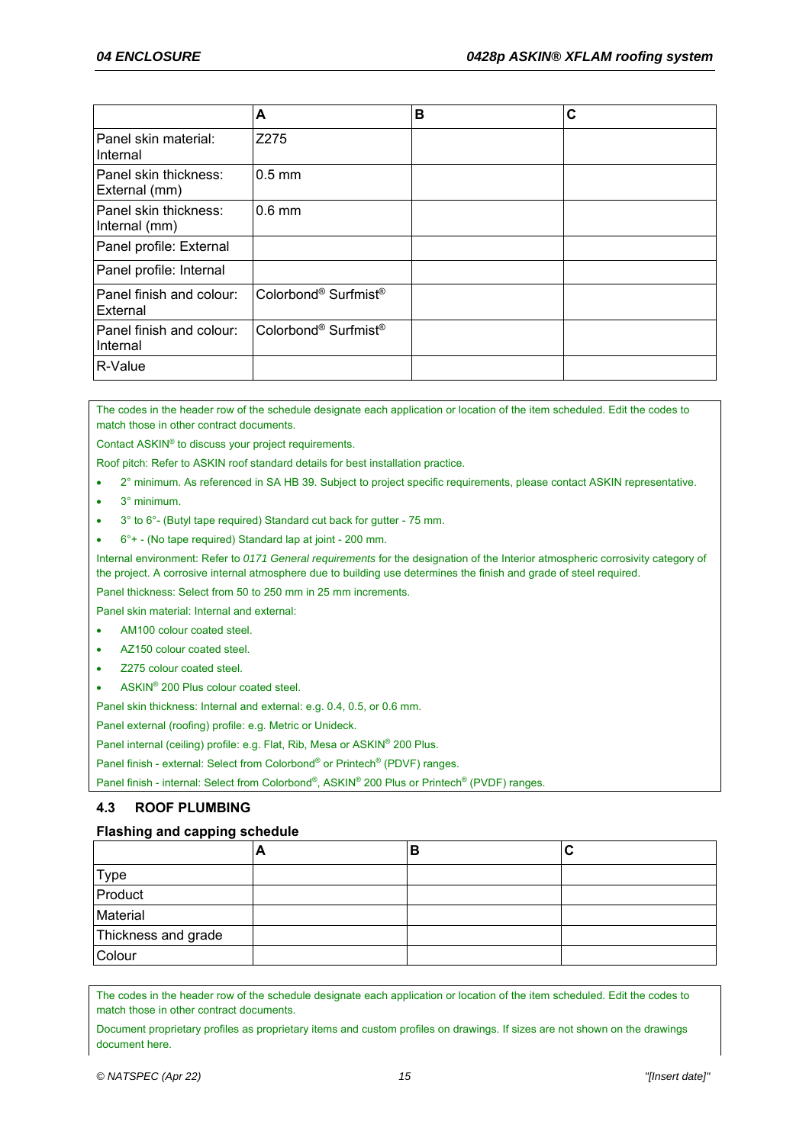|                                        | А                                            | в | C |
|----------------------------------------|----------------------------------------------|---|---|
| Panel skin material:<br>Internal       | Z275                                         |   |   |
| Panel skin thickness:<br>External (mm) | $0.5$ mm                                     |   |   |
| Panel skin thickness:<br>Internal (mm) | $0.6$ mm                                     |   |   |
| Panel profile: External                |                                              |   |   |
| Panel profile: Internal                |                                              |   |   |
| Panel finish and colour:<br>External   | Colorbond <sup>®</sup> Surfmist <sup>®</sup> |   |   |
| Panel finish and colour:<br>Internal   | Colorbond <sup>®</sup> Surfmist <sup>®</sup> |   |   |
| R-Value                                |                                              |   |   |

The codes in the header row of the schedule designate each application or location of the item scheduled. Edit the codes to match those in other contract documents.

Contact ASKIN® to discuss your project requirements.

Roof pitch: Refer to ASKIN roof standard details for best installation practice.

2° minimum. As referenced in SA HB 39. Subject to project specific requirements, please contact ASKIN representative.

- 3° minimum.
- 3° to 6°- (Butyl tape required) Standard cut back for gutter 75 mm.
- 6°+ (No tape required) Standard lap at joint 200 mm.

Internal environment: Refer to *0171 General requirements* for the designation of the Interior atmospheric corrosivity category of the project. A corrosive internal atmosphere due to building use determines the finish and grade of steel required.

Panel thickness: Select from 50 to 250 mm in 25 mm increments.

Panel skin material: Internal and external:

- AM100 colour coated steel.
- AZ150 colour coated steel.
- Z275 colour coated steel.
- ASKIN® 200 Plus colour coated steel.

Panel skin thickness: Internal and external: e.g. 0.4, 0.5, or 0.6 mm.

Panel external (roofing) profile: e.g. Metric or Unideck.

Panel internal (ceiling) profile: e.g. Flat, Rib, Mesa or ASKIN® 200 Plus.

Panel finish - external: Select from Colorbond® or Printech® (PDVF) ranges.

Panel finish - internal: Select from Colorbond®, ASKIN® 200 Plus or Printech® (PVDF) ranges.

### **4.3 ROOF PLUMBING**

### **Flashing and capping schedule**

|                     | - | в |  |
|---------------------|---|---|--|
| Type                |   |   |  |
| Product             |   |   |  |
| Material            |   |   |  |
| Thickness and grade |   |   |  |
| Colour              |   |   |  |

The codes in the header row of the schedule designate each application or location of the item scheduled. Edit the codes to match those in other contract documents.

Document proprietary profiles as proprietary items and custom profiles on drawings. If sizes are not shown on the drawings document here.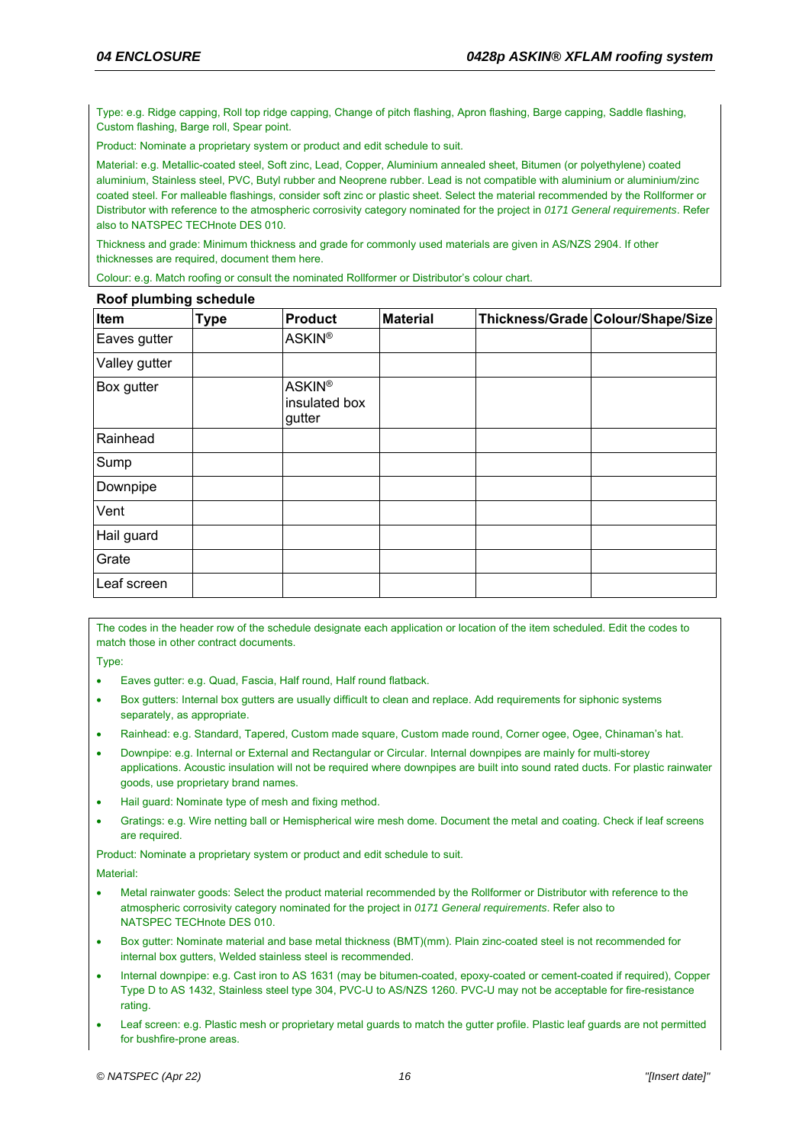Type: e.g. Ridge capping, Roll top ridge capping, Change of pitch flashing, Apron flashing, Barge capping, Saddle flashing, Custom flashing, Barge roll, Spear point.

Product: Nominate a proprietary system or product and edit schedule to suit.

Material: e.g. Metallic-coated steel, Soft zinc, Lead, Copper, Aluminium annealed sheet, Bitumen (or polyethylene) coated aluminium, Stainless steel, PVC, Butyl rubber and Neoprene rubber. Lead is not compatible with aluminium or aluminium/zinc coated steel. For malleable flashings, consider soft zinc or plastic sheet. Select the material recommended by the Rollformer or Distributor with reference to the atmospheric corrosivity category nominated for the project in *0171 General requirements*. Refer also to NATSPEC TECHnote DES 010.

Thickness and grade: Minimum thickness and grade for commonly used materials are given in AS/NZS 2904. If other thicknesses are required, document them here.

Colour: e.g. Match roofing or consult the nominated Rollformer or Distributor's colour chart.

#### **Roof plumbing schedule**

| Item              | <b>Type</b> | <b>Product</b>                           | <b>Material</b> | Thickness/Grade Colour/Shape/Size |
|-------------------|-------------|------------------------------------------|-----------------|-----------------------------------|
| Eaves gutter      |             | <b>ASKIN®</b>                            |                 |                                   |
| Valley gutter     |             |                                          |                 |                                   |
| <b>Box gutter</b> |             | <b>ASKIN®</b><br>insulated box<br>gutter |                 |                                   |
| Rainhead          |             |                                          |                 |                                   |
| Sump              |             |                                          |                 |                                   |
| Downpipe          |             |                                          |                 |                                   |
| Vent              |             |                                          |                 |                                   |
| Hail guard        |             |                                          |                 |                                   |
| Grate             |             |                                          |                 |                                   |
| Leaf screen       |             |                                          |                 |                                   |

The codes in the header row of the schedule designate each application or location of the item scheduled. Edit the codes to match those in other contract documents.

Type:

- Eaves gutter: e.g. Quad, Fascia, Half round, Half round flatback.
- Box gutters: Internal box gutters are usually difficult to clean and replace. Add requirements for siphonic systems separately, as appropriate.
- Rainhead: e.g. Standard, Tapered, Custom made square, Custom made round, Corner ogee, Ogee, Chinaman's hat.
- Downpipe: e.g. Internal or External and Rectangular or Circular. Internal downpipes are mainly for multi-storey applications. Acoustic insulation will not be required where downpipes are built into sound rated ducts. For plastic rainwater goods, use proprietary brand names.
- Hail guard: Nominate type of mesh and fixing method.
- Gratings: e.g. Wire netting ball or Hemispherical wire mesh dome. Document the metal and coating. Check if leaf screens are required.

Product: Nominate a proprietary system or product and edit schedule to suit. **Material:** 

- 
- Metal rainwater goods: Select the product material recommended by the Rollformer or Distributor with reference to the atmospheric corrosivity category nominated for the project in *0171 General requirements*. Refer also to NATSPEC TECHnote DES 010.
- Box gutter: Nominate material and base metal thickness (BMT)(mm). Plain zinc-coated steel is not recommended for internal box gutters, Welded stainless steel is recommended.
- Internal downpipe: e.g. Cast iron to AS 1631 (may be bitumen-coated, epoxy-coated or cement-coated if required), Copper Type D to AS 1432, Stainless steel type 304, PVC-U to AS/NZS 1260. PVC-U may not be acceptable for fire-resistance rating.
- Leaf screen: e.g. Plastic mesh or proprietary metal guards to match the gutter profile. Plastic leaf guards are not permitted for bushfire-prone areas.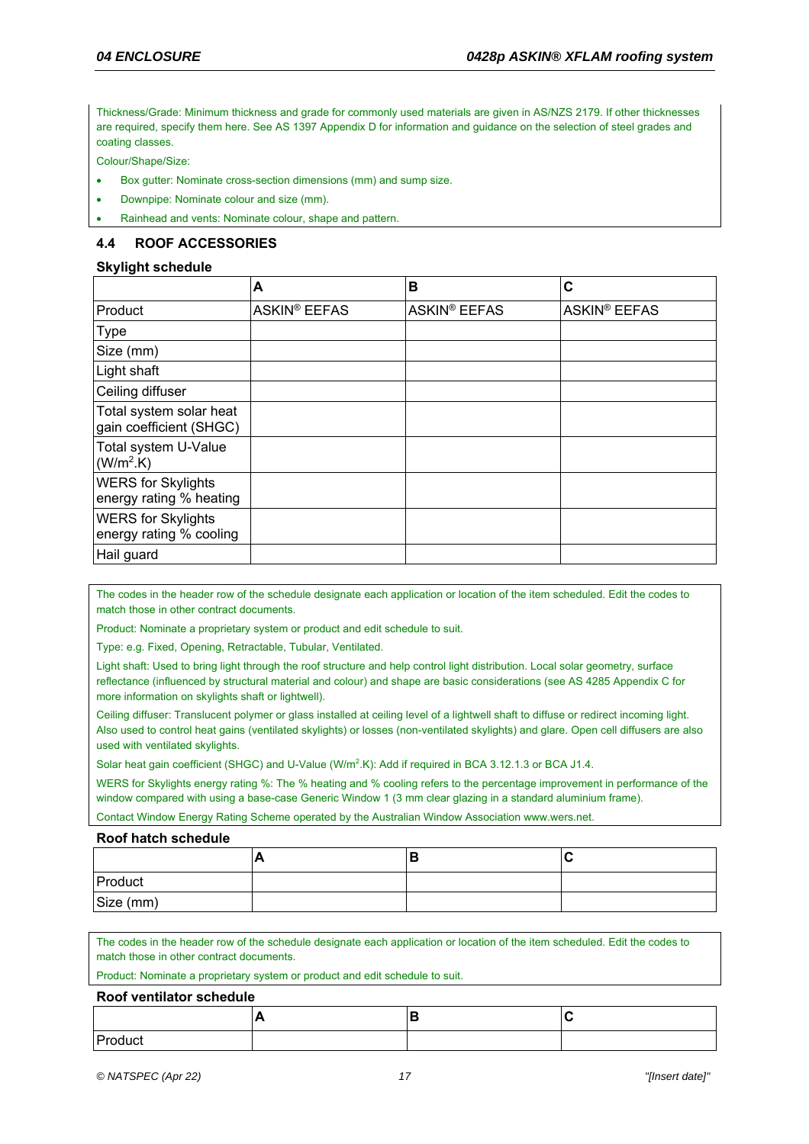Thickness/Grade: Minimum thickness and grade for commonly used materials are given in AS/NZS 2179. If other thicknesses are required, specify them here. See AS 1397 Appendix D for information and guidance on the selection of steel grades and coating classes.

Colour/Shape/Size:

- Box gutter: Nominate cross-section dimensions (mm) and sump size.
- Downpipe: Nominate colour and size (mm).
- Rainhead and vents: Nominate colour, shape and pattern.

## **4.4 ROOF ACCESSORIES**

#### **Skylight schedule**

|                                                      | A                   | B                   | C                        |
|------------------------------------------------------|---------------------|---------------------|--------------------------|
| Product                                              | <b>ASKIN® EEFAS</b> | <b>ASKIN® EEFAS</b> | ASKIN <sup>®</sup> EEFAS |
| Type                                                 |                     |                     |                          |
| Size (mm)                                            |                     |                     |                          |
| Light shaft                                          |                     |                     |                          |
| Ceiling diffuser                                     |                     |                     |                          |
| Total system solar heat<br>gain coefficient (SHGC)   |                     |                     |                          |
| Total system U-Value<br>(W/m <sup>2</sup> .K)        |                     |                     |                          |
| <b>WERS</b> for Skylights<br>energy rating % heating |                     |                     |                          |
| <b>WERS</b> for Skylights<br>energy rating % cooling |                     |                     |                          |
| Hail guard                                           |                     |                     |                          |

The codes in the header row of the schedule designate each application or location of the item scheduled. Edit the codes to match those in other contract documents.

Product: Nominate a proprietary system or product and edit schedule to suit.

Type: e.g. Fixed, Opening, Retractable, Tubular, Ventilated.

Light shaft: Used to bring light through the roof structure and help control light distribution. Local solar geometry, surface reflectance (influenced by structural material and colour) and shape are basic considerations (see AS 4285 Appendix C for more information on skylights shaft or lightwell).

Ceiling diffuser: Translucent polymer or glass installed at ceiling level of a lightwell shaft to diffuse or redirect incoming light. Also used to control heat gains (ventilated skylights) or losses (non-ventilated skylights) and glare. Open cell diffusers are also used with ventilated skylights.

Solar heat gain coefficient (SHGC) and U-Value (W/m<sup>2</sup>.K): Add if required in BCA 3.12.1.3 or BCA J1.4.

WERS for Skylights energy rating %: The % heating and % cooling refers to the percentage improvement in performance of the window compared with using a base-case Generic Window 1 (3 mm clear glazing in a standard aluminium frame).

Contact Window Energy Rating Scheme operated by the Australian Window Association www.wers.net.

#### **Roof hatch schedule**

| Product   |  |  |
|-----------|--|--|
| Size (mm) |  |  |

The codes in the header row of the schedule designate each application or location of the item scheduled. Edit the codes to match those in other contract documents.

#### Product: Nominate a proprietary system or product and edit schedule to suit.

#### **Roof ventilator schedule**

| <b>IPrc</b><br>'roduct |  |  |
|------------------------|--|--|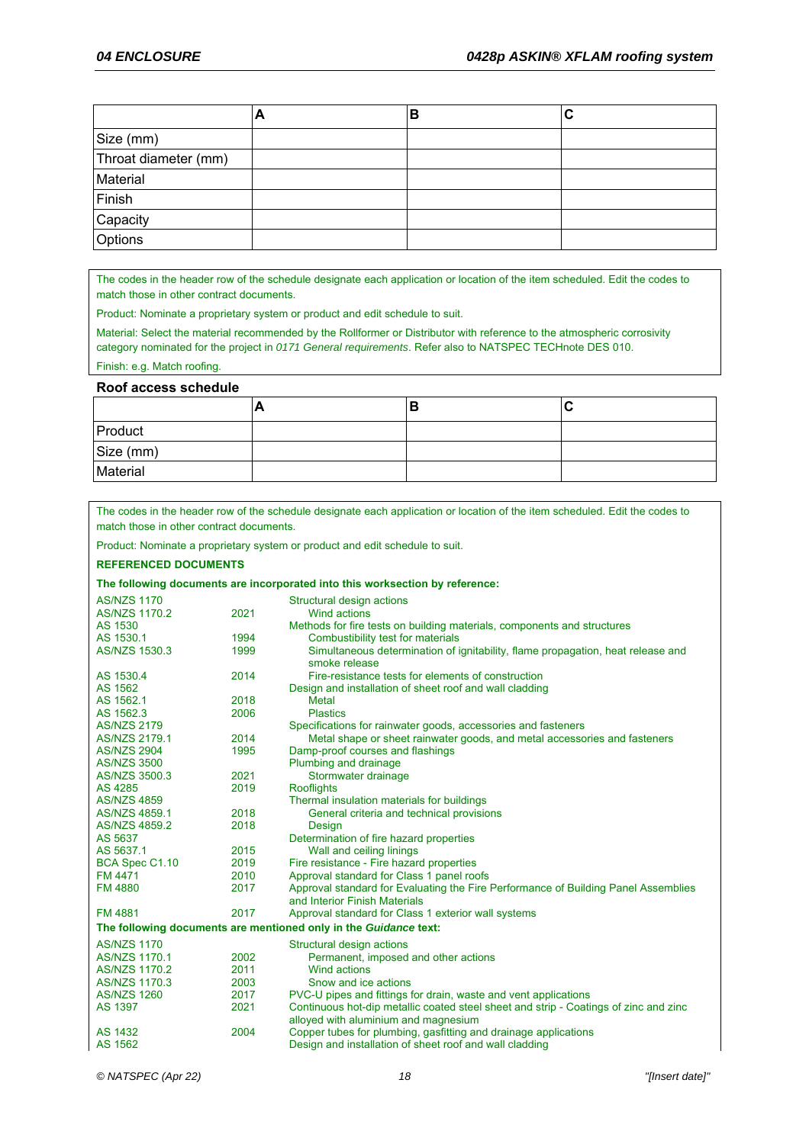|                      | A | В |  |
|----------------------|---|---|--|
| Size (mm)            |   |   |  |
| Throat diameter (mm) |   |   |  |
| Material             |   |   |  |
| Finish               |   |   |  |
| Capacity             |   |   |  |
| Options              |   |   |  |

The codes in the header row of the schedule designate each application or location of the item scheduled. Edit the codes to match those in other contract documents.

Product: Nominate a proprietary system or product and edit schedule to suit.

Material: Select the material recommended by the Rollformer or Distributor with reference to the atmospheric corrosivity category nominated for the project in *0171 General requirements*. Refer also to NATSPEC TECHnote DES 010.

Finish: e.g. Match roofing.

#### **Roof access schedule**

|           | r | В | .<br>. |
|-----------|---|---|--------|
| Product   |   |   |        |
| Size (mm) |   |   |        |
| Material  |   |   |        |

The codes in the header row of the schedule designate each application or location of the item scheduled. Edit the codes to match those in other contract documents.

Product: Nominate a proprietary system or product and edit schedule to suit.

#### **REFERENCED DOCUMENTS**

|                      |      | The following documents are incorporated into this worksection by reference:                     |
|----------------------|------|--------------------------------------------------------------------------------------------------|
| <b>AS/NZS 1170</b>   |      | Structural design actions                                                                        |
| <b>AS/NZS 1170.2</b> | 2021 | Wind actions                                                                                     |
| AS 1530              |      | Methods for fire tests on building materials, components and structures                          |
| AS 1530.1            | 1994 | Combustibility test for materials                                                                |
| AS/NZS 1530.3        | 1999 | Simultaneous determination of ignitability, flame propagation, heat release and<br>smoke release |
| AS 1530.4            | 2014 | Fire-resistance tests for elements of construction                                               |
| AS 1562              |      | Design and installation of sheet roof and wall cladding                                          |
| AS 1562.1            | 2018 | <b>Metal</b>                                                                                     |
| AS 1562.3            | 2006 | <b>Plastics</b>                                                                                  |
| <b>AS/NZS 2179</b>   |      | Specifications for rainwater goods, accessories and fasteners                                    |
| AS/NZS 2179.1        | 2014 |                                                                                                  |
|                      |      | Metal shape or sheet rainwater goods, and metal accessories and fasteners                        |
| <b>AS/NZS 2904</b>   | 1995 | Damp-proof courses and flashings                                                                 |
| <b>AS/NZS 3500</b>   |      | Plumbing and drainage                                                                            |
| AS/NZS 3500.3        | 2021 | Stormwater drainage                                                                              |
| AS 4285              | 2019 | <b>Rooflights</b>                                                                                |
| <b>AS/NZS 4859</b>   |      | Thermal insulation materials for buildings                                                       |
| AS/NZS 4859.1        | 2018 | General criteria and technical provisions                                                        |
| AS/NZS 4859.2        | 2018 | Design                                                                                           |
| AS 5637              |      | Determination of fire hazard properties                                                          |
| AS 5637.1            | 2015 | Wall and ceiling linings                                                                         |
| BCA Spec C1.10       | 2019 | Fire resistance - Fire hazard properties                                                         |
| FM 4471              | 2010 | Approval standard for Class 1 panel roofs                                                        |
| <b>FM 4880</b>       | 2017 | Approval standard for Evaluating the Fire Performance of Building Panel Assemblies               |
|                      |      | and Interior Finish Materials                                                                    |
| <b>FM 4881</b>       | 2017 | Approval standard for Class 1 exterior wall systems                                              |
|                      |      | The following documents are mentioned only in the Guidance text:                                 |
| <b>AS/NZS 1170</b>   |      | Structural design actions                                                                        |
| <b>AS/NZS 1170.1</b> | 2002 | Permanent, imposed and other actions                                                             |
| <b>AS/NZS 1170.2</b> | 2011 | <b>Wind actions</b>                                                                              |
| AS/NZS 1170.3        | 2003 | Snow and ice actions                                                                             |
| <b>AS/NZS 1260</b>   | 2017 | PVC-U pipes and fittings for drain, waste and vent applications                                  |
| AS 1397              | 2021 | Continuous hot-dip metallic coated steel sheet and strip - Coatings of zinc and zinc             |
|                      |      | alloyed with aluminium and magnesium                                                             |
| AS 1432              | 2004 | Copper tubes for plumbing, gasfitting and drainage applications                                  |
| AS 1562              |      | Design and installation of sheet roof and wall cladding                                          |